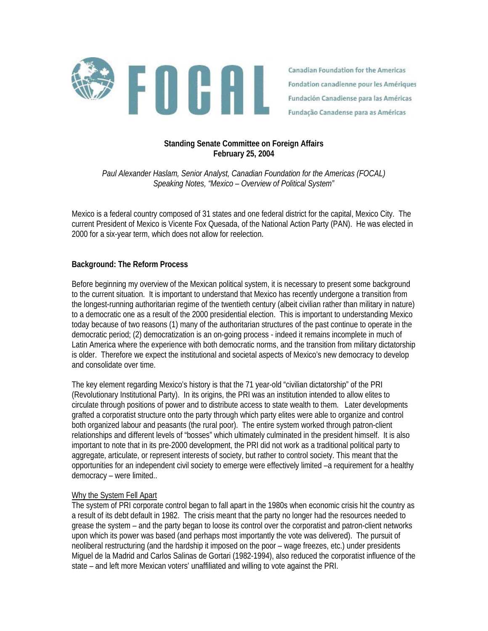

Canadian Foundation for the Americas Fondation canadienne pour les Amériques Fundación Canadiense para las Américas Fundação Canadense para as Américas

# **Standing Senate Committee on Foreign Affairs February 25, 2004**

*Paul Alexander Haslam, Senior Analyst, Canadian Foundation for the Americas (FOCAL) Speaking Notes, "Mexico – Overview of Political System"* 

Mexico is a federal country composed of 31 states and one federal district for the capital, Mexico City. The current President of Mexico is Vicente Fox Quesada, of the National Action Party (PAN). He was elected in 2000 for a six-year term, which does not allow for reelection.

# **Background: The Reform Process**

Before beginning my overview of the Mexican political system, it is necessary to present some background to the current situation. It is important to understand that Mexico has recently undergone a transition from the longest-running authoritarian regime of the twentieth century (albeit civilian rather than military in nature) to a democratic one as a result of the 2000 presidential election. This is important to understanding Mexico today because of two reasons (1) many of the authoritarian structures of the past continue to operate in the democratic period; (2) democratization is an on-going process - indeed it remains incomplete in much of Latin America where the experience with both democratic norms, and the transition from military dictatorship is older. Therefore we expect the institutional and societal aspects of Mexico's new democracy to develop and consolidate over time.

The key element regarding Mexico's history is that the 71 year-old "civilian dictatorship" of the PRI (Revolutionary Institutional Party). In its origins, the PRI was an institution intended to allow elites to circulate through positions of power and to distribute access to state wealth to them. Later developments grafted a corporatist structure onto the party through which party elites were able to organize and control both organized labour and peasants (the rural poor). The entire system worked through patron-client relationships and different levels of "bosses" which ultimately culminated in the president himself. It is also important to note that in its pre-2000 development, the PRI did not work as a traditional political party to aggregate, articulate, or represent interests of society, but rather to control society. This meant that the opportunities for an independent civil society to emerge were effectively limited –a requirement for a healthy democracy – were limited..

## Why the System Fell Apart

The system of PRI corporate control began to fall apart in the 1980s when economic crisis hit the country as a result of its debt default in 1982. The crisis meant that the party no longer had the resources needed to grease the system – and the party began to loose its control over the corporatist and patron-client networks upon which its power was based (and perhaps most importantly the vote was delivered). The pursuit of neoliberal restructuring (and the hardship it imposed on the poor – wage freezes, etc.) under presidents Miguel de la Madrid and Carlos Salinas de Gortari (1982-1994), also reduced the corporatist influence of the state – and left more Mexican voters' unaffiliated and willing to vote against the PRI.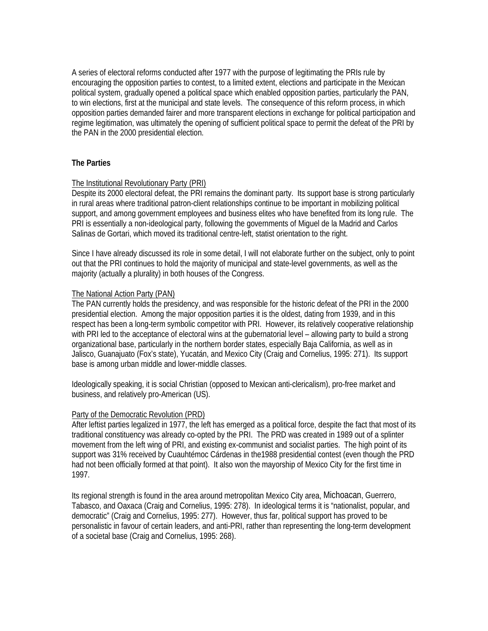A series of electoral reforms conducted after 1977 with the purpose of legitimating the PRIs rule by encouraging the opposition parties to contest, to a limited extent, elections and participate in the Mexican political system, gradually opened a political space which enabled opposition parties, particularly the PAN, to win elections, first at the municipal and state levels. The consequence of this reform process, in which opposition parties demanded fairer and more transparent elections in exchange for political participation and regime legitimation, was ultimately the opening of sufficient political space to permit the defeat of the PRI by the PAN in the 2000 presidential election.

# **The Parties**

# The Institutional Revolutionary Party (PRI)

Despite its 2000 electoral defeat, the PRI remains the dominant party. Its support base is strong particularly in rural areas where traditional patron-client relationships continue to be important in mobilizing political support, and among government employees and business elites who have benefited from its long rule. The PRI is essentially a non-ideological party, following the governments of Miguel de la Madrid and Carlos Salinas de Gortari, which moved its traditional centre-left, statist orientation to the right.

Since I have already discussed its role in some detail, I will not elaborate further on the subject, only to point out that the PRI continues to hold the majority of municipal and state-level governments, as well as the majority (actually a plurality) in both houses of the Congress.

## The National Action Party (PAN)

The PAN currently holds the presidency, and was responsible for the historic defeat of the PRI in the 2000 presidential election. Among the major opposition parties it is the oldest, dating from 1939, and in this respect has been a long-term symbolic competitor with PRI. However, its relatively cooperative relationship with PRI led to the acceptance of electoral wins at the gubernatorial level – allowing party to build a strong organizational base, particularly in the northern border states, especially Baja California, as well as in Jalisco, Guanajuato (Fox's state), Yucatán, and Mexico City (Craig and Cornelius, 1995: 271). Its support base is among urban middle and lower-middle classes.

Ideologically speaking, it is social Christian (opposed to Mexican anti-clericalism), pro-free market and business, and relatively pro-American (US).

## Party of the Democratic Revolution (PRD)

After leftist parties legalized in 1977, the left has emerged as a political force, despite the fact that most of its traditional constituency was already co-opted by the PRI. The PRD was created in 1989 out of a splinter movement from the left wing of PRI, and existing ex-communist and socialist parties. The high point of its support was 31% received by Cuauhtémoc Cárdenas in the1988 presidential contest (even though the PRD had not been officially formed at that point). It also won the mayorship of Mexico City for the first time in 1997.

Its regional strength is found in the area around metropolitan Mexico City area, Michoacan, Guerrero, Tabasco, and Oaxaca (Craig and Cornelius, 1995: 278). In ideological terms it is "nationalist, popular, and democratic" (Craig and Cornelius, 1995: 277). However, thus far, political support has proved to be personalistic in favour of certain leaders, and anti-PRI, rather than representing the long-term development of a societal base (Craig and Cornelius, 1995: 268).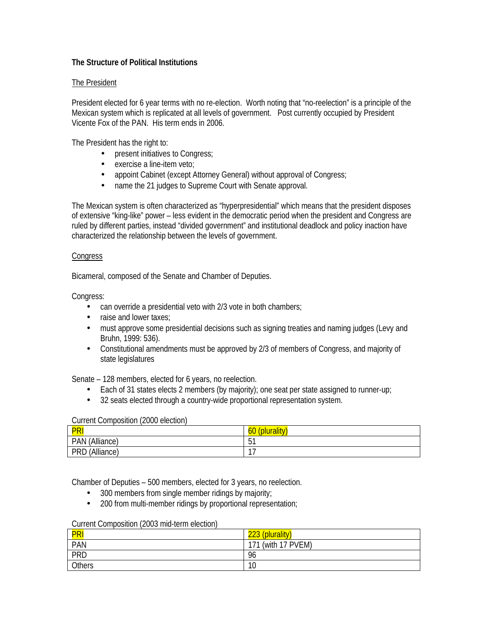# **The Structure of Political Institutions**

# The President

President elected for 6 year terms with no re-election. Worth noting that "no-reelection" is a principle of the Mexican system which is replicated at all levels of government. Post currently occupied by President Vicente Fox of the PAN. His term ends in 2006.

The President has the right to:

- present initiatives to Congress;
- exercise a line-item veto;
- appoint Cabinet (except Attorney General) without approval of Congress;
- name the 21 judges to Supreme Court with Senate approval.

The Mexican system is often characterized as "hyperpresidential" which means that the president disposes of extensive "king-like" power – less evident in the democratic period when the president and Congress are ruled by different parties, instead "divided government" and institutional deadlock and policy inaction have characterized the relationship between the levels of government.

# **Congress**

Bicameral, composed of the Senate and Chamber of Deputies.

Congress:

- can override a presidential veto with 2/3 vote in both chambers;
- raise and lower taxes:
- must approve some presidential decisions such as signing treaties and naming judges (Levy and Bruhn, 1999: 536).
- Constitutional amendments must be approved by 2/3 of members of Congress, and majority of state legislatures

Senate – 128 members, elected for 6 years, no reelection.

- Each of 31 states elects 2 members (by majority); one seat per state assigned to runner-up;
- 32 seats elected through a country-wide proportional representation system.

## Current Composition (2000 election)

| DD             | (plurality)                   |
|----------------|-------------------------------|
| 'NI            | 60                            |
| (Alliance)     | <u>га</u>                     |
| PAN            | ັບ .                          |
| PRD (Alliance) | -<br>$\overline{\phantom{a}}$ |

Chamber of Deputies – 500 members, elected for 3 years, no reelection.

- 300 members from single member ridings by majority;
- 200 from multi-member ridings by proportional representation;

## Current Composition (2003 mid-term election)

| <b>DD</b>     | 223<br>(plurality)    |
|---------------|-----------------------|
| PAN           | (with 17 PVEM)<br>171 |
| <b>PRD</b>    | 96                    |
| <b>Others</b> | 10                    |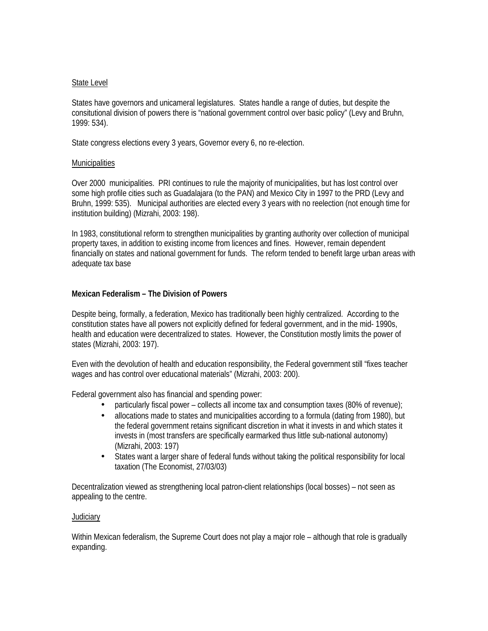#### State Level

States have governors and unicameral legislatures. States handle a range of duties, but despite the consitutional division of powers there is "national government control over basic policy" (Levy and Bruhn, 1999: 534).

State congress elections every 3 years, Governor every 6, no re-election.

#### **Municipalities**

Over 2000 municipalities. PRI continues to rule the majority of municipalities, but has lost control over some high profile cities such as Guadalajara (to the PAN) and Mexico City in 1997 to the PRD (Levy and Bruhn, 1999: 535). Municipal authorities are elected every 3 years with no reelection (not enough time for institution building) (Mizrahi, 2003: 198).

In 1983, constitutional reform to strengthen municipalities by granting authority over collection of municipal property taxes, in addition to existing income from licences and fines. However, remain dependent financially on states and national government for funds. The reform tended to benefit large urban areas with adequate tax base

## **Mexican Federalism – The Division of Powers**

Despite being, formally, a federation, Mexico has traditionally been highly centralized. According to the constitution states have all powers not explicitly defined for federal government, and in the mid- 1990s, health and education were decentralized to states. However, the Constitution mostly limits the power of states (Mizrahi, 2003: 197).

Even with the devolution of health and education responsibility, the Federal government still "fixes teacher wages and has control over educational materials" (Mizrahi, 2003: 200).

Federal government also has financial and spending power:

- particularly fiscal power collects all income tax and consumption taxes (80% of revenue);
- allocations made to states and municipalities according to a formula (dating from 1980), but the federal government retains significant discretion in what it invests in and which states it invests in (most transfers are specifically earmarked thus little sub-national autonomy) (Mizrahi, 2003: 197)
- States want a larger share of federal funds without taking the political responsibility for local taxation (The Economist, 27/03/03)

Decentralization viewed as strengthening local patron-client relationships (local bosses) – not seen as appealing to the centre.

## Judiciary

Within Mexican federalism, the Supreme Court does not play a major role – although that role is gradually expanding.